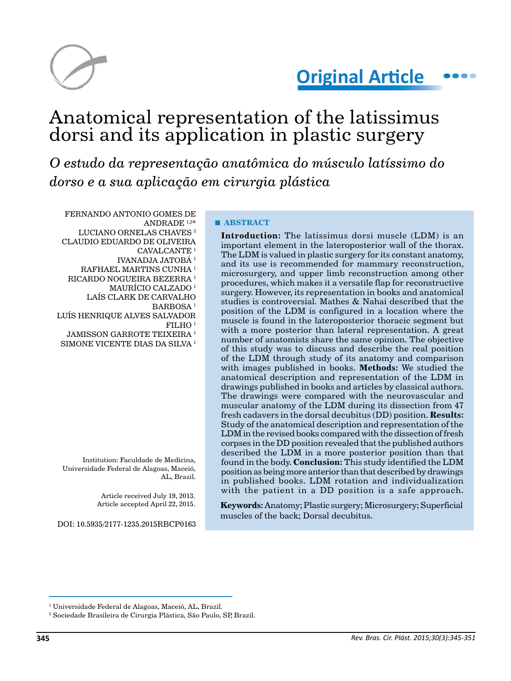

# Anatomical representation of the latissimus dorsi and its application in plastic surgery

*O estudo da representação anatômica do músculo latíssimo do dorso e a sua aplicação em cirurgia plástica*

FERNANDO ANTONIO GOMES DE ANDRADE 1,2\* LUCIANO ORNELAS CHAVES<sup>2</sup> CLAUDIO EDUARDO DE OLIVEIRA CAVALCANTE<sup>1</sup> IVANADJA JATOBÁ 1 RAFHAEL MARTINS CUNHA 1 RICARDO NOGUEIRA BEZERRA 1 MAURÍCIO CALZADO<sup>1</sup> LAÍS CLARK DE CARVALHO BARBOSA 1 LUÍS HENRIQUE ALVES SALVADOR FILHO 1 JAMISSON GARROTE TEIXEIRA 1 SIMONE VICENTE DIAS DA SILVA<sup>1</sup>

Institution: Faculdade de Medicina, Universidade Federal de Alagoas, Maceió, AL, Brazil.

> Article received July 19, 2013. Article accepted April 22, 2015.

DOI: 10.5935/2177-1235.2015RBCP0163

# **■ ABSTRACT**

**Introduction:** The latissimus dorsi muscle (LDM) is an important element in the lateroposterior wall of the thorax. The LDM is valued in plastic surgery for its constant anatomy, and its use is recommended for mammary reconstruction, microsurgery, and upper limb reconstruction among other procedures, which makes it a versatile flap for reconstructive surgery. However, its representation in books and anatomical studies is controversial. Mathes & Nahai described that the position of the LDM is configured in a location where the muscle is found in the lateroposterior thoracic segment but with a more posterior than lateral representation. A great number of anatomists share the same opinion. The objective of this study was to discuss and describe the real position of the LDM through study of its anatomy and comparison with images published in books. **Methods:** We studied the anatomical description and representation of the LDM in drawings published in books and articles by classical authors. The drawings were compared with the neurovascular and muscular anatomy of the LDM during its dissection from 47 fresh cadavers in the dorsal decubitus (DD) position. **Results:** Study of the anatomical description and representation of the LDM in the revised books compared with the dissection of fresh corpses in the DD position revealed that the published authors described the LDM in a more posterior position than that found in the body. **Conclusion:** This study identified the LDM position as being more anterior than that described by drawings in published books. LDM rotation and individualization with the patient in a DD position is a safe approach.

**Keywords:** Anatomy; Plastic surgery; Microsurgery; Superficial muscles of the back; Dorsal decubitus.

<sup>1</sup> Universidade Federal de Alagoas, Maceió, AL, Brazil.

<sup>2</sup> Sociedade Brasileira de Cirurgia Plástica, São Paulo, SP, Brazil.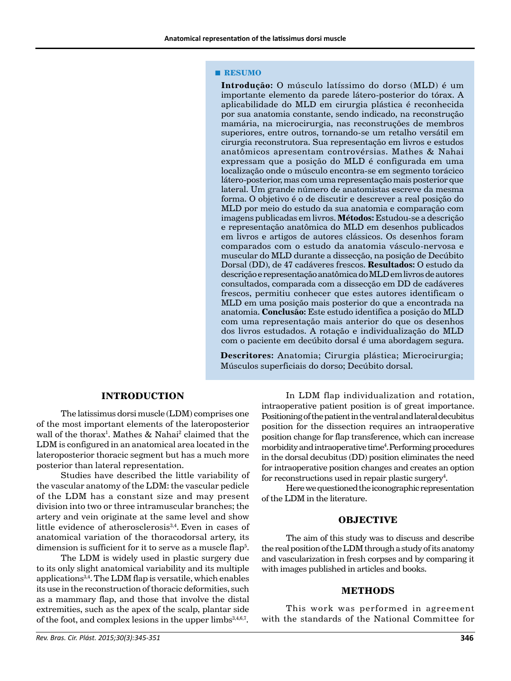#### **■ RESUMO**

**Introdução:** O músculo latíssimo do dorso (MLD) é um importante elemento da parede látero-posterior do tórax. A aplicabilidade do MLD em cirurgia plástica é reconhecida por sua anatomia constante, sendo indicado, na reconstrução mamária, na microcirurgia, nas reconstruções de membros superiores, entre outros, tornando-se um retalho versátil em cirurgia reconstrutora. Sua representação em livros e estudos anatômicos apresentam controvérsias. Mathes & Nahai expressam que a posição do MLD é configurada em uma localização onde o músculo encontra-se em segmento torácico látero-posterior, mas com uma representação mais posterior que lateral. Um grande número de anatomistas escreve da mesma forma. O objetivo é o de discutir e descrever a real posição do MLD por meio do estudo da sua anatomia e comparação com imagens publicadas em livros. **Métodos:** Estudou-se a descrição e representação anatômica do MLD em desenhos publicados em livros e artigos de autores clássicos. Os desenhos foram comparados com o estudo da anatomia vásculo-nervosa e muscular do MLD durante a dissecção, na posição de Decúbito Dorsal (DD), de 47 cadáveres frescos. **Resultados:** O estudo da descrição e representação anatômica do MLD em livros de autores consultados, comparada com a dissecção em DD de cadáveres frescos, permitiu conhecer que estes autores identificam o MLD em uma posição mais posterior do que a encontrada na anatomia. **Conclusão:** Este estudo identifica a posição do MLD com uma representação mais anterior do que os desenhos dos livros estudados. A rotação e individualização do MLD com o paciente em decúbito dorsal é uma abordagem segura.

**Descritores:** Anatomia; Cirurgia plástica; Microcirurgia; Músculos superficiais do dorso; Decúbito dorsal.

# **INTRODUCTION**

The latissimus dorsi muscle (LDM) comprises one of the most important elements of the lateroposterior wall of the thorax1 . Mathes & Nahai2 claimed that the LDM is configured in an anatomical area located in the lateroposterior thoracic segment but has a much more posterior than lateral representation.

Studies have described the little variability of the vascular anatomy of the LDM: the vascular pedicle of the LDM has a constant size and may present division into two or three intramuscular branches; the artery and vein originate at the same level and show little evidence of atherosclerosis<sup>3,4</sup>. Even in cases of anatomical variation of the thoracodorsal artery, its dimension is sufficient for it to serve as a muscle flap $^5\!$ .

The LDM is widely used in plastic surgery due to its only slight anatomical variability and its multiple applications3,4. The LDM flap is versatile, which enables its use in the reconstruction of thoracic deformities, such as a mammary flap, and those that involve the distal extremities, such as the apex of the scalp, plantar side of the foot, and complex lesions in the upper limbs $3,4,6,7$ .

In LDM flap individualization and rotation, intraoperative patient position is of great importance. Positioning of the patient in the ventral and lateral decubitus position for the dissection requires an intraoperative position change for flap transference, which can increase morbidity and intraoperative time<sup>4</sup>. Performing procedures in the dorsal decubitus (DD) position eliminates the need for intraoperative position changes and creates an option for reconstructions used in repair plastic surgery<sup>4</sup>.

Here we questioned the iconographic representation of the LDM in the literature.

#### **OBJECTIVE**

The aim of this study was to discuss and describe the real position of the LDM through a study of its anatomy and vascularization in fresh corpses and by comparing it with images published in articles and books.

#### **METHODS**

This work was performed in agreement with the standards of the National Committee for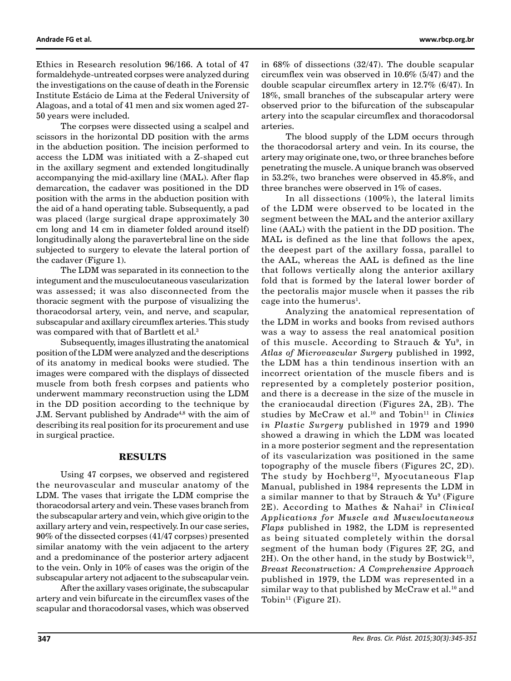Ethics in Research resolution 96/166. A total of 47 formaldehyde-untreated corpses were analyzed during the investigations on the cause of death in the Forensic Institute Estácio de Lima at the Federal University of Alagoas, and a total of 41 men and six women aged 27- 50 years were included.

The corpses were dissected using a scalpel and scissors in the horizontal DD position with the arms in the abduction position. The incision performed to access the LDM was initiated with a Z-shaped cut in the axillary segment and extended longitudinally accompanying the mid-axillary line (MAL). After flap demarcation, the cadaver was positioned in the DD position with the arms in the abduction position with the aid of a hand operating table. Subsequently, a pad was placed (large surgical drape approximately 30 cm long and 14 cm in diameter folded around itself) longitudinally along the paravertebral line on the side subjected to surgery to elevate the lateral portion of the cadaver (Figure 1).

The LDM was separated in its connection to the integument and the musculocutaneous vascularization was assessed; it was also disconnected from the thoracic segment with the purpose of visualizing the thoracodorsal artery, vein, and nerve, and scapular, subscapular and axillary circumflex arteries. This study was compared with that of Bartlett et al.3

Subsequently, images illustrating the anatomical position of the LDM were analyzed and the descriptions of its anatomy in medical books were studied. The images were compared with the displays of dissected muscle from both fresh corpses and patients who underwent mammary reconstruction using the LDM in the DD position according to the technique by J.M. Servant published by Andrade<sup>4,8</sup> with the aim of describing its real position for its procurement and use in surgical practice.

### **RESULTS**

Using 47 corpses, we observed and registered the neurovascular and muscular anatomy of the LDM. The vases that irrigate the LDM comprise the thoracodorsal artery and vein. These vases branch from the subscapular artery and vein, which give origin to the axillary artery and vein, respectively. In our case series, 90% of the dissected corpses (41/47 corpses) presented similar anatomy with the vein adjacent to the artery and a predominance of the posterior artery adjacent to the vein. Only in 10% of cases was the origin of the subscapular artery not adjacent to the subscapular vein.

After the axillary vases originate, the subscapular artery and vein bifurcate in the circumflex vases of the scapular and thoracodorsal vases, which was observed in 68% of dissections (32/47). The double scapular circumflex vein was observed in 10.6% (5/47) and the double scapular circumflex artery in 12.7% (6/47). In 18%, small branches of the subscapular artery were observed prior to the bifurcation of the subscapular artery into the scapular circumflex and thoracodorsal arteries.

The blood supply of the LDM occurs through the thoracodorsal artery and vein. In its course, the artery may originate one, two, or three branches before penetrating the muscle. A unique branch was observed in 53.2%, two branches were observed in 45.8%, and three branches were observed in 1% of cases.

In all dissections (100%), the lateral limits of the LDM were observed to be located in the segment between the MAL and the anterior axillary line (AAL) with the patient in the DD position. The MAL is defined as the line that follows the apex, the deepest part of the axillary fossa, parallel to the AAL, whereas the AAL is defined as the line that follows vertically along the anterior axillary fold that is formed by the lateral lower border of the pectoralis major muscle when it passes the rib cage into the humerus<sup>1</sup>.

Analyzing the anatomical representation of the LDM in works and books from revised authors was a way to assess the real anatomical position of this muscle. According to Strauch & Yu<sup>9</sup>, in *Atlas of Microvascular Surgery* published in 1992, the LDM has a thin tendinous insertion with an incorrect orientation of the muscle fibers and is represented by a completely posterior position, and there is a decrease in the size of the muscle in the craniocaudal direction (Figures 2A, 2B). The studies by McCraw et al.<sup>10</sup> and Tobin<sup>11</sup> in *Clinics in Plastic Surgery* published in 1979 and 1990 showed a drawing in which the LDM was located in a more posterior segment and the representation of its vascularization was positioned in the same topography of the muscle fibers (Figures 2C, 2D). The study by Hochberg<sup>12</sup>, Myocutaneous Flap Manual, published in 1984 represents the LDM in a similar manner to that by Strauch &  $Yu<sup>9</sup>$  (Figure 2E). According to Mathes & Nahai2 in *Clinical Applications for Muscle and Musculocutaneous Flaps* published in 1982, the LDM is represented as being situated completely within the dorsal segment of the human body (Figures 2F, 2G, and  $2H$ ). On the other hand, in the study by Bostwick<sup>13</sup>, *Breast Reconstruction: A Comprehensive Approach* published in 1979, the LDM was represented in a similar way to that published by McCraw et al.<sup>10</sup> and Tobin<sup>11</sup> (Figure 2I).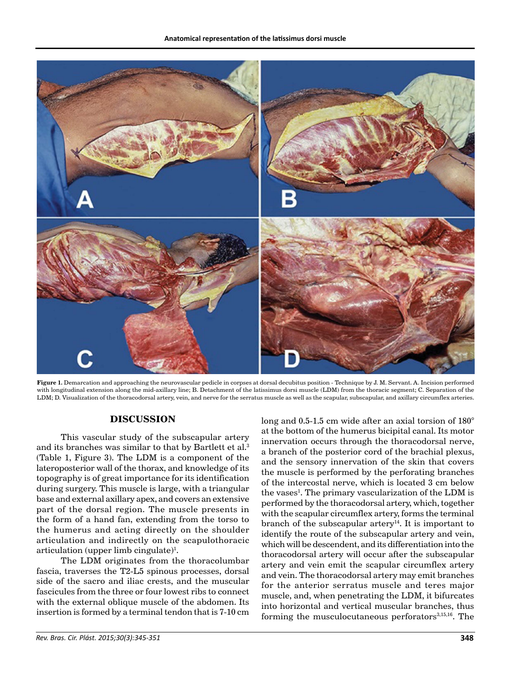

**Figure 1.** Demarcation and approaching the neurovascular pedicle in corpses at dorsal decubitus position - Technique by J. M. Servant. A. Incision performed with longitudinal extension along the mid-axillary line; B. Detachment of the latissimus dorsi muscle (LDM) from the thoracic segment; C. Separation of the LDM; D. Visualization of the thoracodorsal artery, vein, and nerve for the serratus muscle as well as the scapular, subscapular, and axillary circumflex arteries.

#### **DISCUSSION**

This vascular study of the subscapular artery and its branches was similar to that by Bartlett et al.<sup>3</sup> (Table 1, Figure 3). The LDM is a component of the lateroposterior wall of the thorax, and knowledge of its topography is of great importance for its identification during surgery. This muscle is large, with a triangular base and external axillary apex, and covers an extensive part of the dorsal region. The muscle presents in the form of a hand fan, extending from the torso to the humerus and acting directly on the shoulder articulation and indirectly on the scapulothoracic articulation (upper limb cingulate)<sup>1</sup>.

The LDM originates from the thoracolumbar fascia, traverses the T2-L5 spinous processes, dorsal side of the sacro and iliac crests, and the muscular fascicules from the three or four lowest ribs to connect with the external oblique muscle of the abdomen. Its insertion is formed by a terminal tendon that is 7-10 cm long and 0.5-1.5 cm wide after an axial torsion of 180° at the bottom of the humerus bicipital canal. Its motor innervation occurs through the thoracodorsal nerve, a branch of the posterior cord of the brachial plexus, and the sensory innervation of the skin that covers the muscle is performed by the perforating branches of the intercostal nerve, which is located 3 cm below the vases<sup>1</sup>. The primary vascularization of the LDM is performed by the thoracodorsal artery, which, together with the scapular circumflex artery, forms the terminal branch of the subscapular artery<sup>14</sup>. It is important to identify the route of the subscapular artery and vein, which will be descendent, and its differentiation into the thoracodorsal artery will occur after the subscapular artery and vein emit the scapular circumflex artery and vein. The thoracodorsal artery may emit branches for the anterior serratus muscle and teres major muscle, and, when penetrating the LDM, it bifurcates into horizontal and vertical muscular branches, thus forming the musculocutaneous perforators $3,15,16$ . The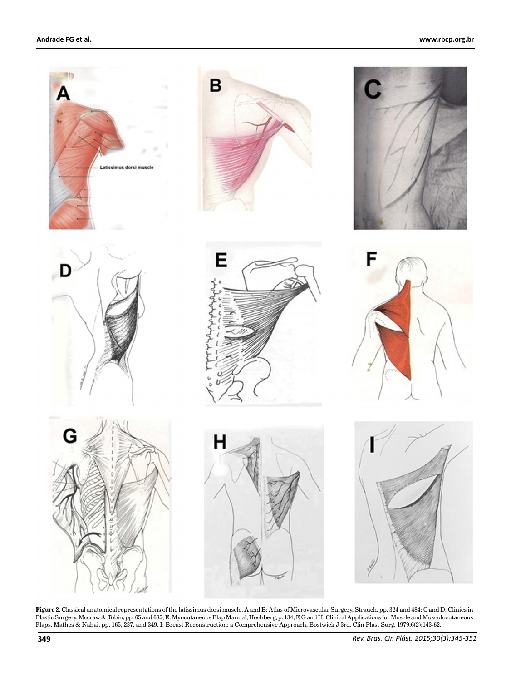

**Figure 2.** Classical anatomical representations of the latissimus dorsi muscle. A and B: Atlas of Microvascular Surgery, Strauch, pp. 324 and 484; C and D: Clinics in Plastic Surgery, Mccraw & Tobin, pp. 65 and 685; E: Myocutaneous Flap Manual, Hochberg, p. 134; F, G and H: Clinical Applications for Muscle and Musculocutaneous Flaps, Mathes & Nahai, pp. 165, 237, and 349. I: Breast Reconstruction: a Comprehensive Approach, Bostwick J 3rd. Clin Plast Surg. 1979;6(2):143-62.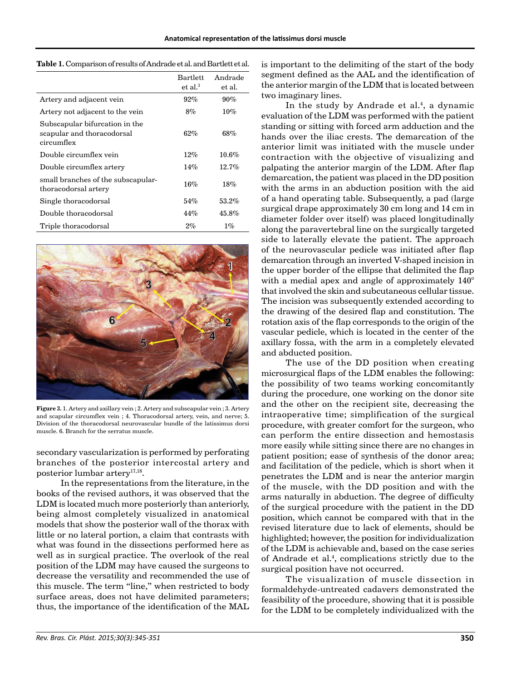|                                                                            | <b>Bartlett</b><br>et al. <sup>3</sup> | Andrade<br>et al. |
|----------------------------------------------------------------------------|----------------------------------------|-------------------|
| Artery and adjacent vein                                                   | $92\%$                                 | $90\%$            |
| Artery not adjacent to the vein                                            | 8%                                     | 10%               |
| Subscapular bifurcation in the<br>scapular and thoracodorsal<br>circumflex | 62%                                    | 68%               |
| Double circumflex vein                                                     | 12%                                    | 10.6%             |
| Double circumflex artery                                                   | 14%                                    | 12.7%             |
| small branches of the subscapular-<br>thoracodorsal artery                 | 16%                                    | 18%               |
| Single thoracodorsal                                                       | 54%                                    | 53.2%             |
| Double thoracodorsal                                                       | 44%                                    | 45.8%             |
| Triple thoracodorsal                                                       | $2\%$                                  | $1\%$             |



**Figure 3.** 1. Artery and axillary vein ; 2. Artery and subscapular vein ; 3. Artery and scapular circumflex vein ; 4. Thoracodorsal artery, vein, and nerve; 5. Division of the thoracodorsal neurovascular bundle of the latissimus dorsi muscle. 6. Branch for the serratus muscle.

secondary vascularization is performed by perforating branches of the posterior intercostal artery and posterior lumbar artery<sup>17,18</sup>.

In the representations from the literature, in the books of the revised authors, it was observed that the LDM is located much more posteriorly than anteriorly, being almost completely visualized in anatomical models that show the posterior wall of the thorax with little or no lateral portion, a claim that contrasts with what was found in the dissections performed here as well as in surgical practice. The overlook of the real position of the LDM may have caused the surgeons to decrease the versatility and recommended the use of this muscle. The term "line," when restricted to body surface areas, does not have delimited parameters; thus, the importance of the identification of the MAL is important to the delimiting of the start of the body segment defined as the AAL and the identification of the anterior margin of the LDM that is located between two imaginary lines.

In the study by Andrade et al.<sup>4</sup>, a dynamic evaluation of the LDM was performed with the patient standing or sitting with forced arm adduction and the hands over the iliac crests. The demarcation of the anterior limit was initiated with the muscle under contraction with the objective of visualizing and palpating the anterior margin of the LDM. After flap demarcation, the patient was placed in the DD position with the arms in an abduction position with the aid of a hand operating table. Subsequently, a pad (large surgical drape approximately 30 cm long and 14 cm in diameter folder over itself) was placed longitudinally along the paravertebral line on the surgically targeted side to laterally elevate the patient. The approach of the neurovascular pedicle was initiated after flap demarcation through an inverted V-shaped incision in the upper border of the ellipse that delimited the flap with a medial apex and angle of approximately 140° that involved the skin and subcutaneous cellular tissue. The incision was subsequently extended according to the drawing of the desired flap and constitution. The rotation axis of the flap corresponds to the origin of the vascular pedicle, which is located in the center of the axillary fossa, with the arm in a completely elevated and abducted position.

The use of the DD position when creating microsurgical flaps of the LDM enables the following: the possibility of two teams working concomitantly during the procedure, one working on the donor site and the other on the recipient site, decreasing the intraoperative time; simplification of the surgical procedure, with greater comfort for the surgeon, who can perform the entire dissection and hemostasis more easily while sitting since there are no changes in patient position; ease of synthesis of the donor area; and facilitation of the pedicle, which is short when it penetrates the LDM and is near the anterior margin of the muscle, with the DD position and with the arms naturally in abduction. The degree of difficulty of the surgical procedure with the patient in the DD position, which cannot be compared with that in the revised literature due to lack of elements, should be highlighted; however, the position for individualization of the LDM is achievable and, based on the case series of Andrade et al.<sup>4</sup>, complications strictly due to the surgical position have not occurred.

The visualization of muscle dissection in formaldehyde-untreated cadavers demonstrated the feasibility of the procedure, showing that it is possible for the LDM to be completely individualized with the